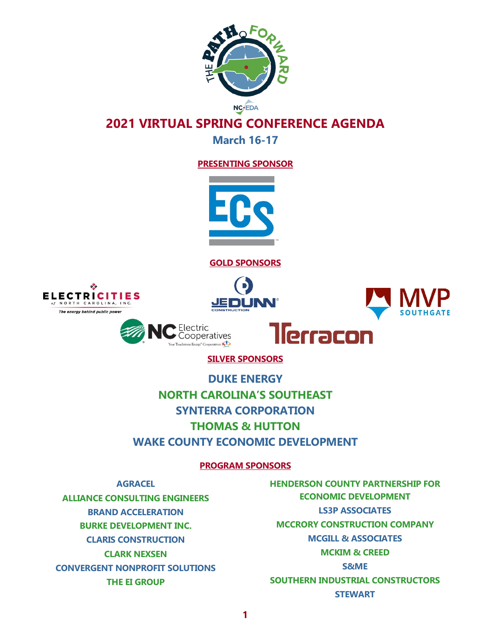

**March 16-17**

#### **PRESENTING SPONSOR**



**GOLD SPONSORS**







**SILVER SPONSORS**

Electric Cooperatives ergy<sup>®</sup> Cooperatives

**DUKE ENERGY**

**NORTH CAROLINA'S SOUTHEAST SYNTERRA CORPORATION THOMAS & HUTTON WAKE COUNTY ECONOMIC DEVELOPMENT**

#### **PROGRAM SPONSORS**

**AGRACEL**

**ALLIANCE CONSULTING ENGINEERS BRAND ACCELERATION BURKE DEVELOPMENT INC. CLARIS CONSTRUCTION CLARK NEXSEN CONVERGENT NONPROFIT SOLUTIONS THE EI GROUP**

**HENDERSON COUNTY PARTNERSHIP FOR ECONOMIC DEVELOPMENT LS3P ASSOCIATES MCCRORY CONSTRUCTION COMPANY MCGILL & ASSOCIATES MCKIM & CREED S&ME SOUTHERN INDUSTRIAL CONSTRUCTORS STEWART**

llerracon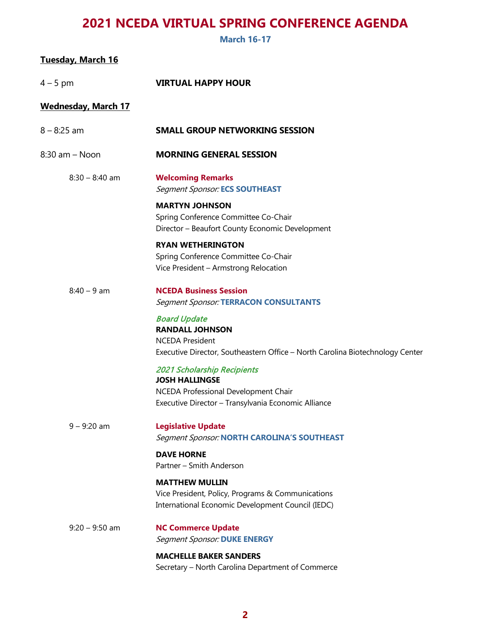**March 16-17**

| <u>Tuesday, March 16</u>   |                                                                                                                                                          |
|----------------------------|----------------------------------------------------------------------------------------------------------------------------------------------------------|
| 4 – 5 pm                   | <b>VIRTUAL HAPPY HOUR</b>                                                                                                                                |
| <b>Wednesday, March 17</b> |                                                                                                                                                          |
| $8 - 8:25$ am              | <b>SMALL GROUP NETWORKING SESSION</b>                                                                                                                    |
| $8:30$ am $-$ Noon         | <b>MORNING GENERAL SESSION</b>                                                                                                                           |
| $8:30 - 8:40$ am           | <b>Welcoming Remarks</b><br><b>Segment Sponsor: ECS SOUTHEAST</b>                                                                                        |
|                            | <b>MARTYN JOHNSON</b><br>Spring Conference Committee Co-Chair<br>Director - Beaufort County Economic Development                                         |
|                            | <b>RYAN WETHERINGTON</b><br>Spring Conference Committee Co-Chair<br>Vice President - Armstrong Relocation                                                |
| $8:40 - 9$ am              | <b>NCEDA Business Session</b><br><b>Segment Sponsor: TERRACON CONSULTANTS</b>                                                                            |
|                            | <b>Board Update</b><br><b>RANDALL JOHNSON</b><br><b>NCEDA President</b><br>Executive Director, Southeastern Office - North Carolina Biotechnology Center |
|                            | 2021 Scholarship Recipients<br><b>JOSH HALLINGSE</b><br>NCEDA Professional Development Chair<br>Executive Director - Transylvania Economic Alliance      |
| $9 - 9:20$ am              | <b>Legislative Update</b><br>Segment Sponsor: NORTH CAROLINA'S SOUTHEAST                                                                                 |
|                            | <b>DAVE HORNE</b><br>Partner – Smith Anderson                                                                                                            |
|                            | <b>MATTHEW MULLIN</b><br>Vice President, Policy, Programs & Communications<br>International Economic Development Council (IEDC)                          |
| $9:20 - 9:50$ am           | <b>NC Commerce Update</b><br><b>Segment Sponsor: DUKE ENERGY</b>                                                                                         |
|                            | <b>MACHELLE BAKER SANDERS</b><br>Secretary - North Carolina Department of Commerce                                                                       |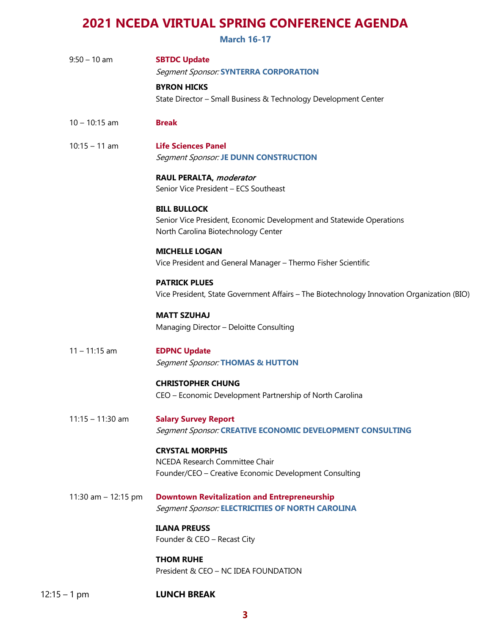**March 16-17**

| $9:50 - 10$ am        | <b>SBTDC Update</b><br><b>Segment Sponsor: SYNTERRA CORPORATION</b>                                                                |
|-----------------------|------------------------------------------------------------------------------------------------------------------------------------|
|                       | <b>BYRON HICKS</b><br>State Director - Small Business & Technology Development Center                                              |
| $10 - 10:15$ am       | <b>Break</b>                                                                                                                       |
| $10:15 - 11$ am       | <b>Life Sciences Panel</b><br><b>Segment Sponsor: JE DUNN CONSTRUCTION</b>                                                         |
|                       | RAUL PERALTA, moderator<br>Senior Vice President - ECS Southeast                                                                   |
|                       | <b>BILL BULLOCK</b><br>Senior Vice President, Economic Development and Statewide Operations<br>North Carolina Biotechnology Center |
|                       | <b>MICHELLE LOGAN</b><br>Vice President and General Manager - Thermo Fisher Scientific                                             |
|                       | <b>PATRICK PLUES</b><br>Vice President, State Government Affairs - The Biotechnology Innovation Organization (BIO)                 |
|                       | <b>MATT SZUHAJ</b><br>Managing Director - Deloitte Consulting                                                                      |
| $11 - 11:15$ am       | <b>EDPNC Update</b><br><b>Segment Sponsor: THOMAS &amp; HUTTON</b>                                                                 |
|                       | <b>CHRISTOPHER CHUNG</b><br>CEO - Economic Development Partnership of North Carolina                                               |
| $11:15 - 11:30$ am    | <b>Salary Survey Report</b><br>Segment Sponsor: CREATIVE ECONOMIC DEVELOPMENT CONSULTING                                           |
|                       | <b>CRYSTAL MORPHIS</b><br>NCEDA Research Committee Chair<br>Founder/CEO - Creative Economic Development Consulting                 |
| 11:30 am $-$ 12:15 pm | <b>Downtown Revitalization and Entrepreneurship</b><br><b>Segment Sponsor: ELECTRICITIES OF NORTH CAROLINA</b>                     |
|                       | <b>ILANA PREUSS</b><br>Founder & CEO - Recast City                                                                                 |
|                       | <b>THOM RUHE</b><br>President & CEO - NC IDEA FOUNDATION                                                                           |
| $12:15 - 1$ pm        | <b>LUNCH BREAK</b>                                                                                                                 |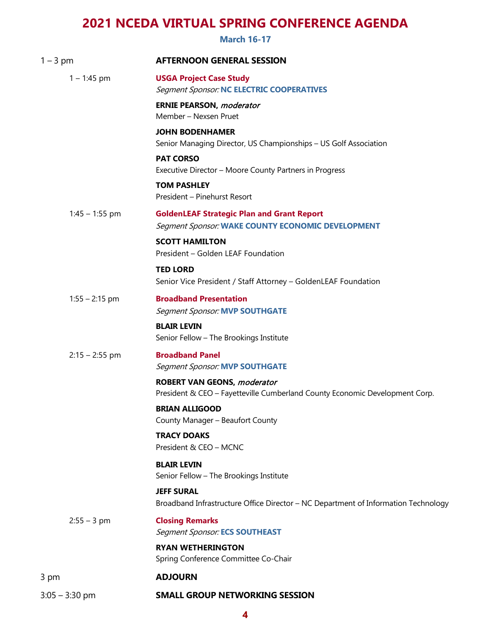**March 16-17**

| $1 - 3$ pm       | <b>AFTERNOON GENERAL SESSION</b>                                                                                  |
|------------------|-------------------------------------------------------------------------------------------------------------------|
| $1 - 1:45$ pm    | <b>USGA Project Case Study</b><br><b>Segment Sponsor: NC ELECTRIC COOPERATIVES</b>                                |
|                  | <b>ERNIE PEARSON, moderator</b><br>Member - Nexsen Pruet                                                          |
|                  | <b>JOHN BODENHAMER</b><br>Senior Managing Director, US Championships - US Golf Association                        |
|                  | <b>PAT CORSO</b><br>Executive Director - Moore County Partners in Progress                                        |
|                  | <b>TOM PASHLEY</b><br>President - Pinehurst Resort                                                                |
| $1:45 - 1:55$ pm | <b>GoldenLEAF Strategic Plan and Grant Report</b><br>Segment Sponsor: WAKE COUNTY ECONOMIC DEVELOPMENT            |
|                  | <b>SCOTT HAMILTON</b><br>President - Golden LEAF Foundation                                                       |
|                  | <b>TED LORD</b><br>Senior Vice President / Staff Attorney - GoldenLEAF Foundation                                 |
| $1:55 - 2:15$ pm | <b>Broadband Presentation</b><br><b>Segment Sponsor: MVP SOUTHGATE</b>                                            |
|                  | <b>BLAIR LEVIN</b><br>Senior Fellow - The Brookings Institute                                                     |
| $2:15 - 2:55$ pm | <b>Broadband Panel</b><br><b>Segment Sponsor: MVP SOUTHGATE</b>                                                   |
|                  | <b>ROBERT VAN GEONS, moderator</b><br>President & CEO - Fayetteville Cumberland County Economic Development Corp. |
|                  | <b>BRIAN ALLIGOOD</b><br>County Manager - Beaufort County                                                         |
|                  | <b>TRACY DOAKS</b><br>President & CEO - MCNC                                                                      |
|                  | <b>BLAIR LEVIN</b><br>Senior Fellow - The Brookings Institute                                                     |
|                  | <b>JEFF SURAL</b><br>Broadband Infrastructure Office Director - NC Department of Information Technology           |
| $2:55 - 3$ pm    | <b>Closing Remarks</b><br><b>Segment Sponsor: ECS SOUTHEAST</b>                                                   |
|                  | <b>RYAN WETHERINGTON</b><br>Spring Conference Committee Co-Chair                                                  |
| 3 pm             | <b>ADJOURN</b>                                                                                                    |
| $3:05 - 3:30$ pm | <b>SMALL GROUP NETWORKING SESSION</b>                                                                             |